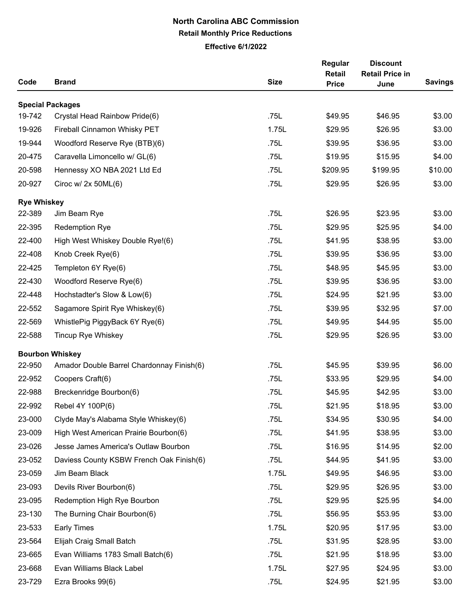## **North Carolina ABC Commission Retail Monthly Price Reductions**

**Effective 6/1/2022**

| Code               | <b>Brand</b>                              | <b>Size</b> | Regular<br><b>Retail</b><br><b>Price</b> | <b>Discount</b><br><b>Retail Price in</b><br>June | <b>Savings</b> |
|--------------------|-------------------------------------------|-------------|------------------------------------------|---------------------------------------------------|----------------|
|                    | <b>Special Packages</b>                   |             |                                          |                                                   |                |
| 19-742             | Crystal Head Rainbow Pride(6)             | .75L        | \$49.95                                  | \$46.95                                           | \$3.00         |
| 19-926             | Fireball Cinnamon Whisky PET              | 1.75L       | \$29.95                                  | \$26.95                                           | \$3.00         |
| 19-944             | Woodford Reserve Rye (BTB)(6)             | .75L        | \$39.95                                  | \$36.95                                           | \$3.00         |
| 20-475             | Caravella Limoncello w/ GL(6)             | .75L        | \$19.95                                  | \$15.95                                           | \$4.00         |
| 20-598             | Hennessy XO NBA 2021 Ltd Ed               | .75L        | \$209.95                                 | \$199.95                                          | \$10.00        |
| 20-927             | Ciroc w/ $2x$ 50ML(6)                     | .75L        | \$29.95                                  | \$26.95                                           | \$3.00         |
| <b>Rye Whiskey</b> |                                           |             |                                          |                                                   |                |
| 22-389             | Jim Beam Rye                              | .75L        | \$26.95                                  | \$23.95                                           | \$3.00         |
| 22-395             | <b>Redemption Rye</b>                     | .75L        | \$29.95                                  | \$25.95                                           | \$4.00         |
| 22-400             | High West Whiskey Double Rye!(6)          | .75L        | \$41.95                                  | \$38.95                                           | \$3.00         |
| 22-408             | Knob Creek Rye(6)                         | .75L        | \$39.95                                  | \$36.95                                           | \$3.00         |
| 22-425             | Templeton 6Y Rye(6)                       | .75L        | \$48.95                                  | \$45.95                                           | \$3.00         |
| 22-430             | Woodford Reserve Rye(6)                   | .75L        | \$39.95                                  | \$36.95                                           | \$3.00         |
| 22-448             | Hochstadter's Slow & Low(6)               | .75L        | \$24.95                                  | \$21.95                                           | \$3.00         |
| 22-552             | Sagamore Spirit Rye Whiskey(6)            | .75L        | \$39.95                                  | \$32.95                                           | \$7.00         |
| 22-569             | WhistlePig PiggyBack 6Y Rye(6)            | .75L        | \$49.95                                  | \$44.95                                           | \$5.00         |
| 22-588             | Tincup Rye Whiskey                        | .75L        | \$29.95                                  | \$26.95                                           | \$3.00         |
|                    | <b>Bourbon Whiskey</b>                    |             |                                          |                                                   |                |
| 22-950             | Amador Double Barrel Chardonnay Finish(6) | .75L        | \$45.95                                  | \$39.95                                           | \$6.00         |
| 22-952             | Coopers Craft(6)                          | .75L        | \$33.95                                  | \$29.95                                           | \$4.00         |
| 22-988             | Breckenridge Bourbon(6)                   | .75L        | \$45.95                                  | \$42.95                                           | \$3.00         |
| 22-992             | Rebel 4Y 100P(6)                          | .75L        | \$21.95                                  | \$18.95                                           | \$3.00         |
| 23-000             | Clyde May's Alabama Style Whiskey(6)      | .75L        | \$34.95                                  | \$30.95                                           | \$4.00         |
| 23-009             | High West American Prairie Bourbon(6)     | .75L        | \$41.95                                  | \$38.95                                           | \$3.00         |
| 23-026             | Jesse James America's Outlaw Bourbon      | .75L        | \$16.95                                  | \$14.95                                           | \$2.00         |
| 23-052             | Daviess County KSBW French Oak Finish(6)  | .75L        | \$44.95                                  | \$41.95                                           | \$3.00         |
| 23-059             | Jim Beam Black                            | 1.75L       | \$49.95                                  | \$46.95                                           | \$3.00         |
| 23-093             | Devils River Bourbon(6)                   | .75L        | \$29.95                                  | \$26.95                                           | \$3.00         |
| 23-095             | Redemption High Rye Bourbon               | .75L        | \$29.95                                  | \$25.95                                           | \$4.00         |
| 23-130             | The Burning Chair Bourbon(6)              | .75L        | \$56.95                                  | \$53.95                                           | \$3.00         |
| 23-533             | <b>Early Times</b>                        | 1.75L       | \$20.95                                  | \$17.95                                           | \$3.00         |
| 23-564             | Elijah Craig Small Batch                  | .75L        | \$31.95                                  | \$28.95                                           | \$3.00         |
| 23-665             | Evan Williams 1783 Small Batch(6)         | .75L        | \$21.95                                  | \$18.95                                           | \$3.00         |
| 23-668             | Evan Williams Black Label                 | 1.75L       | \$27.95                                  | \$24.95                                           | \$3.00         |
| 23-729             | Ezra Brooks 99(6)                         | .75L        | \$24.95                                  | \$21.95                                           | \$3.00         |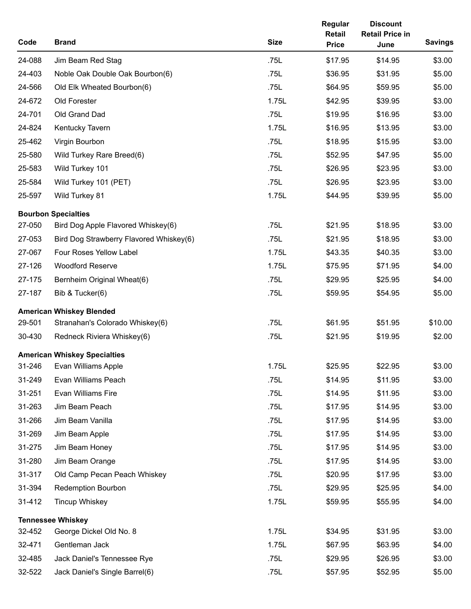| Code   | <b>Brand</b>                            | <b>Size</b> | Regular<br><b>Retail</b><br><b>Price</b> | <b>Discount</b><br><b>Retail Price in</b><br>June | <b>Savings</b> |
|--------|-----------------------------------------|-------------|------------------------------------------|---------------------------------------------------|----------------|
| 24-088 | Jim Beam Red Stag                       | .75L        | \$17.95                                  | \$14.95                                           | \$3.00         |
| 24-403 | Noble Oak Double Oak Bourbon(6)         | .75L        | \$36.95                                  | \$31.95                                           | \$5.00         |
| 24-566 | Old Elk Wheated Bourbon(6)              | .75L        | \$64.95                                  | \$59.95                                           | \$5.00         |
| 24-672 | Old Forester                            | 1.75L       | \$42.95                                  | \$39.95                                           | \$3.00         |
| 24-701 | Old Grand Dad                           | .75L        | \$19.95                                  | \$16.95                                           | \$3.00         |
| 24-824 | Kentucky Tavern                         | 1.75L       | \$16.95                                  | \$13.95                                           | \$3.00         |
| 25-462 | Virgin Bourbon                          | .75L        | \$18.95                                  | \$15.95                                           | \$3.00         |
| 25-580 | Wild Turkey Rare Breed(6)               | .75L        | \$52.95                                  | \$47.95                                           | \$5.00         |
| 25-583 | Wild Turkey 101                         | .75L        | \$26.95                                  | \$23.95                                           | \$3.00         |
| 25-584 | Wild Turkey 101 (PET)                   | .75L        | \$26.95                                  | \$23.95                                           | \$3.00         |
| 25-597 | Wild Turkey 81                          | 1.75L       | \$44.95                                  | \$39.95                                           | \$5.00         |
|        | <b>Bourbon Specialties</b>              |             |                                          |                                                   |                |
| 27-050 | Bird Dog Apple Flavored Whiskey(6)      | .75L        | \$21.95                                  | \$18.95                                           | \$3.00         |
| 27-053 | Bird Dog Strawberry Flavored Whiskey(6) | .75L        | \$21.95                                  | \$18.95                                           | \$3.00         |
| 27-067 | Four Roses Yellow Label                 | 1.75L       | \$43.35                                  | \$40.35                                           | \$3.00         |
| 27-126 | <b>Woodford Reserve</b>                 | 1.75L       | \$75.95                                  | \$71.95                                           | \$4.00         |
| 27-175 | Bernheim Original Wheat(6)              | .75L        | \$29.95                                  | \$25.95                                           | \$4.00         |
| 27-187 | Bib & Tucker(6)                         | .75L        | \$59.95                                  | \$54.95                                           | \$5.00         |
|        | <b>American Whiskey Blended</b>         |             |                                          |                                                   |                |
| 29-501 | Stranahan's Colorado Whiskey(6)         | .75L        | \$61.95                                  | \$51.95                                           | \$10.00        |
| 30-430 | Redneck Riviera Whiskey(6)              | .75L        | \$21.95                                  | \$19.95                                           | \$2.00         |
|        | <b>American Whiskey Specialties</b>     |             |                                          |                                                   |                |
|        | 31-246 Evan Williams Apple              | 1.75L       | \$25.95                                  | \$22.95                                           | \$3.00         |
| 31-249 | Evan Williams Peach                     | .75L        | \$14.95                                  | \$11.95                                           | \$3.00         |
| 31-251 | Evan Williams Fire                      | .75L        | \$14.95                                  | \$11.95                                           | \$3.00         |
| 31-263 | Jim Beam Peach                          | .75L        | \$17.95                                  | \$14.95                                           | \$3.00         |
| 31-266 | Jim Beam Vanilla                        | .75L        | \$17.95                                  | \$14.95                                           | \$3.00         |
| 31-269 | Jim Beam Apple                          | .75L        | \$17.95                                  | \$14.95                                           | \$3.00         |
| 31-275 | Jim Beam Honey                          | .75L        | \$17.95                                  | \$14.95                                           | \$3.00         |
| 31-280 | Jim Beam Orange                         | .75L        | \$17.95                                  | \$14.95                                           | \$3.00         |
| 31-317 | Old Camp Pecan Peach Whiskey            | .75L        | \$20.95                                  | \$17.95                                           | \$3.00         |
| 31-394 | <b>Redemption Bourbon</b>               | .75L        | \$29.95                                  | \$25.95                                           | \$4.00         |
| 31-412 | <b>Tincup Whiskey</b>                   | 1.75L       | \$59.95                                  | \$55.95                                           | \$4.00         |
|        | <b>Tennessee Whiskey</b>                |             |                                          |                                                   |                |
| 32-452 | George Dickel Old No. 8                 | 1.75L       | \$34.95                                  | \$31.95                                           | \$3.00         |
| 32-471 | Gentleman Jack                          | 1.75L       | \$67.95                                  | \$63.95                                           | \$4.00         |
| 32-485 | Jack Daniel's Tennessee Rye             | .75L        | \$29.95                                  | \$26.95                                           | \$3.00         |
| 32-522 | Jack Daniel's Single Barrel(6)          | .75L        | \$57.95                                  | \$52.95                                           | \$5.00         |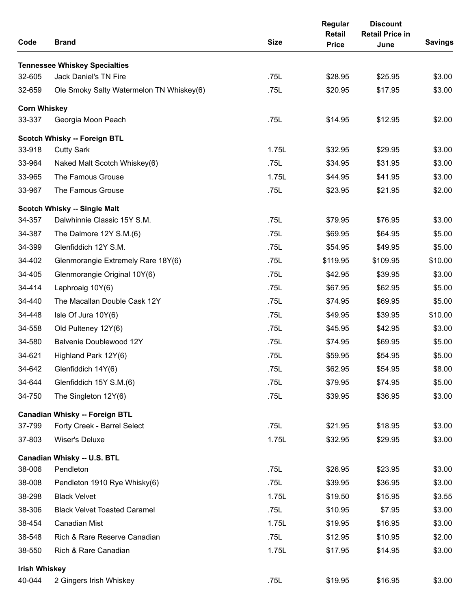| Code                 | <b>Brand</b>                             | <b>Size</b> | Regular<br><b>Retail</b><br><b>Price</b> | <b>Discount</b><br><b>Retail Price in</b><br>June | <b>Savings</b> |
|----------------------|------------------------------------------|-------------|------------------------------------------|---------------------------------------------------|----------------|
|                      | <b>Tennessee Whiskey Specialties</b>     |             |                                          |                                                   |                |
| 32-605               | <b>Jack Daniel's TN Fire</b>             | .75L        | \$28.95                                  | \$25.95                                           | \$3.00         |
| 32-659               | Ole Smoky Salty Watermelon TN Whiskey(6) | .75L        | \$20.95                                  | \$17.95                                           | \$3.00         |
| <b>Corn Whiskey</b>  |                                          |             |                                          |                                                   |                |
| 33-337               | Georgia Moon Peach                       | .75L        | \$14.95                                  | \$12.95                                           | \$2.00         |
|                      | Scotch Whisky -- Foreign BTL             |             |                                          |                                                   |                |
| 33-918               | <b>Cutty Sark</b>                        | 1.75L       | \$32.95                                  | \$29.95                                           | \$3.00         |
| 33-964               | Naked Malt Scotch Whiskey(6)             | .75L        | \$34.95                                  | \$31.95                                           | \$3.00         |
| 33-965               | The Famous Grouse                        | 1.75L       | \$44.95                                  | \$41.95                                           | \$3.00         |
| 33-967               | The Famous Grouse                        | .75L        | \$23.95                                  | \$21.95                                           | \$2.00         |
|                      | Scotch Whisky -- Single Malt             |             |                                          |                                                   |                |
| 34-357               | Dalwhinnie Classic 15Y S.M.              | .75L        | \$79.95                                  | \$76.95                                           | \$3.00         |
| 34-387               | The Dalmore 12Y S.M.(6)                  | .75L        | \$69.95                                  | \$64.95                                           | \$5.00         |
| 34-399               | Glenfiddich 12Y S.M.                     | .75L        | \$54.95                                  | \$49.95                                           | \$5.00         |
| 34-402               | Glenmorangie Extremely Rare 18Y(6)       | .75L        | \$119.95                                 | \$109.95                                          | \$10.00        |
| 34-405               | Glenmorangie Original 10Y(6)             | .75L        | \$42.95                                  | \$39.95                                           | \$3.00         |
| 34-414               | Laphroaig 10Y(6)                         | .75L        | \$67.95                                  | \$62.95                                           | \$5.00         |
| 34-440               | The Macallan Double Cask 12Y             | .75L        | \$74.95                                  | \$69.95                                           | \$5.00         |
| 34-448               | Isle Of Jura 10Y(6)                      | .75L        | \$49.95                                  | \$39.95                                           | \$10.00        |
| 34-558               | Old Pulteney 12Y(6)                      | .75L        | \$45.95                                  | \$42.95                                           | \$3.00         |
| 34-580               | Balvenie Doublewood 12Y                  | .75L        | \$74.95                                  | \$69.95                                           | \$5.00         |
| 34-621               | Highland Park 12Y(6)                     | .75L        | \$59.95                                  | \$54.95                                           | \$5.00         |
| 34-642               | Glenfiddich 14Y(6)                       | .75L        | \$62.95                                  | \$54.95                                           | \$8.00         |
| 34-644               | Glenfiddich 15Y S.M.(6)                  | .75L        | \$79.95                                  | \$74.95                                           | \$5.00         |
| 34-750               | The Singleton 12Y(6)                     | .75L        | \$39.95                                  | \$36.95                                           | \$3.00         |
|                      | <b>Canadian Whisky -- Foreign BTL</b>    |             |                                          |                                                   |                |
| 37-799               | Forty Creek - Barrel Select              | .75L        | \$21.95                                  | \$18.95                                           | \$3.00         |
| 37-803               | Wiser's Deluxe                           | 1.75L       | \$32.95                                  | \$29.95                                           | \$3.00         |
|                      | Canadian Whisky -- U.S. BTL              |             |                                          |                                                   |                |
| 38-006               | Pendleton                                | .75L        | \$26.95                                  | \$23.95                                           | \$3.00         |
| 38-008               | Pendleton 1910 Rye Whisky(6)             | .75L        | \$39.95                                  | \$36.95                                           | \$3.00         |
| 38-298               | <b>Black Velvet</b>                      | 1.75L       | \$19.50                                  | \$15.95                                           | \$3.55         |
| 38-306               | <b>Black Velvet Toasted Caramel</b>      | .75L        | \$10.95                                  | \$7.95                                            | \$3.00         |
| 38-454               | <b>Canadian Mist</b>                     | 1.75L       | \$19.95                                  | \$16.95                                           | \$3.00         |
| 38-548               | Rich & Rare Reserve Canadian             | .75L        | \$12.95                                  | \$10.95                                           | \$2.00         |
| 38-550               | Rich & Rare Canadian                     | 1.75L       | \$17.95                                  | \$14.95                                           | \$3.00         |
| <b>Irish Whiskey</b> |                                          |             |                                          |                                                   |                |
| 40-044               | 2 Gingers Irish Whiskey                  | .75L        | \$19.95                                  | \$16.95                                           | \$3.00         |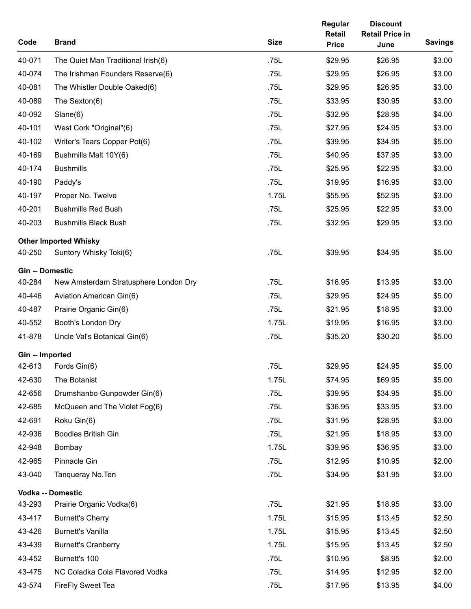| Code                   | <b>Brand</b>                                           | <b>Size</b> | Regular<br><b>Retail</b><br><b>Price</b> | <b>Discount</b><br><b>Retail Price in</b><br>June | <b>Savings</b> |
|------------------------|--------------------------------------------------------|-------------|------------------------------------------|---------------------------------------------------|----------------|
| 40-071                 | The Quiet Man Traditional Irish(6)                     | .75L        | \$29.95                                  | \$26.95                                           | \$3.00         |
| 40-074                 | The Irishman Founders Reserve(6)                       | .75L        | \$29.95                                  | \$26.95                                           | \$3.00         |
| 40-081                 | The Whistler Double Oaked(6)                           | .75L        | \$29.95                                  | \$26.95                                           | \$3.00         |
| 40-089                 | The Sexton(6)                                          | .75L        | \$33.95                                  | \$30.95                                           | \$3.00         |
| 40-092                 | Slane(6)                                               | .75L        | \$32.95                                  | \$28.95                                           | \$4.00         |
| 40-101                 | West Cork "Original"(6)                                | .75L        | \$27.95                                  | \$24.95                                           | \$3.00         |
| 40-102                 | Writer's Tears Copper Pot(6)                           | .75L        | \$39.95                                  | \$34.95                                           | \$5.00         |
| 40-169                 | Bushmills Malt 10Y(6)                                  | .75L        | \$40.95                                  | \$37.95                                           | \$3.00         |
| 40-174                 | <b>Bushmills</b>                                       | .75L        | \$25.95                                  | \$22.95                                           | \$3.00         |
| 40-190                 | Paddy's                                                | .75L        | \$19.95                                  | \$16.95                                           | \$3.00         |
| 40-197                 | Proper No. Twelve                                      | 1.75L       | \$55.95                                  | \$52.95                                           | \$3.00         |
| 40-201                 | <b>Bushmills Red Bush</b>                              | .75L        | \$25.95                                  | \$22.95                                           | \$3.00         |
| 40-203                 | <b>Bushmills Black Bush</b>                            | .75L        | \$32.95                                  | \$29.95                                           | \$3.00         |
| 40-250                 | <b>Other Imported Whisky</b><br>Suntory Whisky Toki(6) | .75L        | \$39.95                                  | \$34.95                                           | \$5.00         |
| <b>Gin -- Domestic</b> |                                                        |             |                                          |                                                   |                |
| 40-284                 | New Amsterdam Stratusphere London Dry                  | .75L        | \$16.95                                  | \$13.95                                           | \$3.00         |
| 40-446                 | Aviation American Gin(6)                               | .75L        | \$29.95                                  | \$24.95                                           | \$5.00         |
| 40-487                 | Prairie Organic Gin(6)                                 | .75L        | \$21.95                                  | \$18.95                                           | \$3.00         |
| 40-552                 | Booth's London Dry                                     | 1.75L       | \$19.95                                  | \$16.95                                           | \$3.00         |
| 41-878                 | Uncle Val's Botanical Gin(6)                           | .75L        | \$35.20                                  | \$30.20                                           | \$5.00         |
| Gin -- Imported        |                                                        |             |                                          |                                                   |                |
| 42-613                 | Fords Gin(6)                                           | .75L        | \$29.95                                  | \$24.95                                           | \$5.00         |
| 42-630                 | The Botanist                                           | 1.75L       | \$74.95                                  | \$69.95                                           | \$5.00         |
| 42-656                 | Drumshanbo Gunpowder Gin(6)                            | .75L        | \$39.95                                  | \$34.95                                           | \$5.00         |
| 42-685                 | McQueen and The Violet Fog(6)                          | .75L        | \$36.95                                  | \$33.95                                           | \$3.00         |
| 42-691                 | Roku Gin(6)                                            | .75L        | \$31.95                                  | \$28.95                                           | \$3.00         |
| 42-936                 | <b>Boodles British Gin</b>                             | .75L        | \$21.95                                  | \$18.95                                           | \$3.00         |
| 42-948                 | Bombay                                                 | 1.75L       | \$39.95                                  | \$36.95                                           | \$3.00         |
| 42-965                 | Pinnacle Gin                                           | .75L        | \$12.95                                  | \$10.95                                           | \$2.00         |
| 43-040                 | Tanqueray No. Ten                                      | .75L        | \$34.95                                  | \$31.95                                           | \$3.00         |
|                        | <b>Vodka -- Domestic</b>                               |             |                                          |                                                   |                |
| 43-293                 | Prairie Organic Vodka(6)                               | .75L        | \$21.95                                  | \$18.95                                           | \$3.00         |
| 43-417                 | <b>Burnett's Cherry</b>                                | 1.75L       | \$15.95                                  | \$13.45                                           | \$2.50         |
| 43-426                 | <b>Burnett's Vanilla</b>                               | 1.75L       | \$15.95                                  | \$13.45                                           | \$2.50         |
| 43-439                 | <b>Burnett's Cranberry</b>                             | 1.75L       | \$15.95                                  | \$13.45                                           | \$2.50         |
| 43-452                 | Burnett's 100                                          | .75L        | \$10.95                                  | \$8.95                                            | \$2.00         |
| 43-475                 | NC Coladka Cola Flavored Vodka                         | .75L        | \$14.95                                  | \$12.95                                           | \$2.00         |
| 43-574                 | <b>FireFly Sweet Tea</b>                               | .75L        | \$17.95                                  | \$13.95                                           | \$4.00         |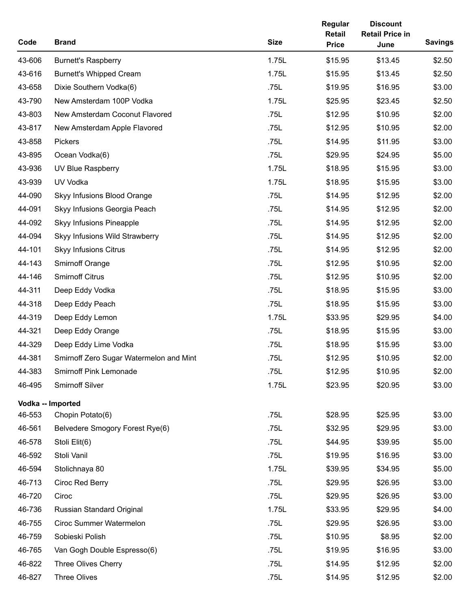| Code   | <b>Brand</b>                            | <b>Size</b> | Regular<br>Retail<br><b>Price</b> | <b>Discount</b><br><b>Retail Price in</b><br>June | <b>Savings</b> |
|--------|-----------------------------------------|-------------|-----------------------------------|---------------------------------------------------|----------------|
| 43-606 | <b>Burnett's Raspberry</b>              | 1.75L       | \$15.95                           | \$13.45                                           | \$2.50         |
| 43-616 | <b>Burnett's Whipped Cream</b>          | 1.75L       | \$15.95                           | \$13.45                                           | \$2.50         |
| 43-658 | Dixie Southern Vodka(6)                 | .75L        | \$19.95                           | \$16.95                                           | \$3.00         |
| 43-790 | New Amsterdam 100P Vodka                | 1.75L       | \$25.95                           | \$23.45                                           | \$2.50         |
| 43-803 | New Amsterdam Coconut Flavored          | .75L        | \$12.95                           | \$10.95                                           | \$2.00         |
| 43-817 | New Amsterdam Apple Flavored            | .75L        | \$12.95                           | \$10.95                                           | \$2.00         |
| 43-858 | Pickers                                 | .75L        | \$14.95                           | \$11.95                                           | \$3.00         |
| 43-895 | Ocean Vodka(6)                          | .75L        | \$29.95                           | \$24.95                                           | \$5.00         |
| 43-936 | UV Blue Raspberry                       | 1.75L       | \$18.95                           | \$15.95                                           | \$3.00         |
| 43-939 | UV Vodka                                | 1.75L       | \$18.95                           | \$15.95                                           | \$3.00         |
| 44-090 | Skyy Infusions Blood Orange             | .75L        | \$14.95                           | \$12.95                                           | \$2.00         |
| 44-091 | Skyy Infusions Georgia Peach            | .75L        | \$14.95                           | \$12.95                                           | \$2.00         |
| 44-092 | Skyy Infusions Pineapple                | .75L        | \$14.95                           | \$12.95                                           | \$2.00         |
| 44-094 | Skyy Infusions Wild Strawberry          | .75L        | \$14.95                           | \$12.95                                           | \$2.00         |
| 44-101 | <b>Skyy Infusions Citrus</b>            | .75L        | \$14.95                           | \$12.95                                           | \$2.00         |
| 44-143 | <b>Smirnoff Orange</b>                  | .75L        | \$12.95                           | \$10.95                                           | \$2.00         |
| 44-146 | <b>Smirnoff Citrus</b>                  | .75L        | \$12.95                           | \$10.95                                           | \$2.00         |
| 44-311 | Deep Eddy Vodka                         | .75L        | \$18.95                           | \$15.95                                           | \$3.00         |
| 44-318 | Deep Eddy Peach                         | .75L        | \$18.95                           | \$15.95                                           | \$3.00         |
| 44-319 | Deep Eddy Lemon                         | 1.75L       | \$33.95                           | \$29.95                                           | \$4.00         |
| 44-321 | Deep Eddy Orange                        | .75L        | \$18.95                           | \$15.95                                           | \$3.00         |
| 44-329 | Deep Eddy Lime Vodka                    | .75L        | \$18.95                           | \$15.95                                           | \$3.00         |
| 44-381 | Smirnoff Zero Sugar Watermelon and Mint | .75L        | \$12.95                           | \$10.95                                           | \$2.00         |
| 44-383 | <b>Smirnoff Pink Lemonade</b>           | .75L        | \$12.95                           | \$10.95                                           | \$2.00         |
| 46-495 | Smirnoff Silver                         | 1.75L       | \$23.95                           | \$20.95                                           | \$3.00         |
|        | Vodka -- Imported                       |             |                                   |                                                   |                |
| 46-553 | Chopin Potato(6)                        | .75L        | \$28.95                           | \$25.95                                           | \$3.00         |
| 46-561 | Belvedere Smogory Forest Rye(6)         | .75L        | \$32.95                           | \$29.95                                           | \$3.00         |
| 46-578 | Stoli Elit(6)                           | .75L        | \$44.95                           | \$39.95                                           | \$5.00         |
| 46-592 | Stoli Vanil                             | .75L        | \$19.95                           | \$16.95                                           | \$3.00         |
| 46-594 | Stolichnaya 80                          | 1.75L       | \$39.95                           | \$34.95                                           | \$5.00         |
| 46-713 | Ciroc Red Berry                         | .75L        | \$29.95                           | \$26.95                                           | \$3.00         |
| 46-720 | Ciroc                                   | .75L        | \$29.95                           | \$26.95                                           | \$3.00         |
| 46-736 | Russian Standard Original               | 1.75L       | \$33.95                           | \$29.95                                           | \$4.00         |
| 46-755 | <b>Ciroc Summer Watermelon</b>          | .75L        | \$29.95                           | \$26.95                                           | \$3.00         |
| 46-759 | Sobieski Polish                         | .75L        | \$10.95                           | \$8.95                                            | \$2.00         |
| 46-765 | Van Gogh Double Espresso(6)             | .75L        | \$19.95                           | \$16.95                                           | \$3.00         |
| 46-822 | Three Olives Cherry                     | .75L        | \$14.95                           | \$12.95                                           | \$2.00         |
| 46-827 | Three Olives                            | .75L        | \$14.95                           | \$12.95                                           | \$2.00         |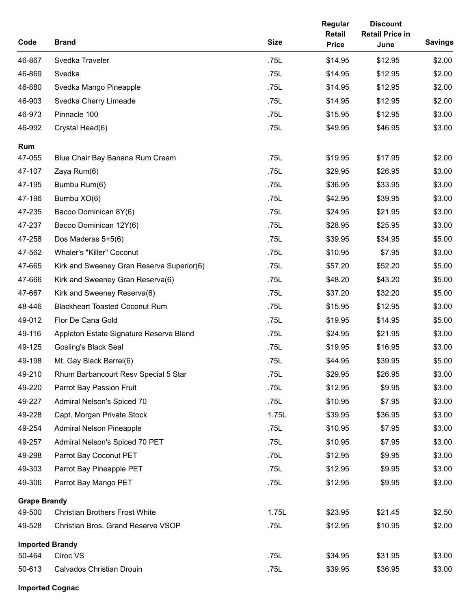| Code                   | <b>Brand</b>                              | <b>Size</b> | Regular<br>Retail<br><b>Price</b> | <b>Discount</b><br><b>Retail Price in</b><br>June | <b>Savings</b> |
|------------------------|-------------------------------------------|-------------|-----------------------------------|---------------------------------------------------|----------------|
| 46-867                 | Svedka Traveler                           | .75L        | \$14.95                           | \$12.95                                           | \$2.00         |
| 46-869                 | Svedka                                    | .75L        | \$14.95                           | \$12.95                                           | \$2.00         |
| 46-880                 | Svedka Mango Pineapple                    | .75L        | \$14.95                           | \$12.95                                           | \$2.00         |
| 46-903                 | Svedka Cherry Limeade                     | .75L        | \$14.95                           | \$12.95                                           | \$2.00         |
| 46-973                 | Pinnacle 100                              | .75L        | \$15.95                           | \$12.95                                           | \$3.00         |
| 46-992                 | Crystal Head(6)                           | .75L        | \$49.95                           | \$46.95                                           | \$3.00         |
| Rum<br>47-055          | Blue Chair Bay Banana Rum Cream           | .75L        | \$19.95                           | \$17.95                                           | \$2.00         |
| 47-107                 | Zaya Rum(6)                               | .75L        | \$29.95                           | \$26.95                                           | \$3.00         |
| 47-195                 | Bumbu Rum(6)                              | .75L        | \$36.95                           | \$33.95                                           | \$3.00         |
| 47-196                 | Bumbu XO(6)                               | .75L        | \$42.95                           | \$39.95                                           | \$3.00         |
| 47-235                 | Bacoo Dominican 8Y(6)                     | .75L        | \$24.95                           | \$21.95                                           | \$3.00         |
| 47-237                 | Bacoo Dominican 12Y(6)                    | .75L        | \$28.95                           | \$25.95                                           | \$3.00         |
| 47-258                 | Dos Maderas 5+5(6)                        | .75L        | \$39.95                           | \$34.95                                           | \$5.00         |
| 47-562                 | <b>Whaler's "Killer" Coconut</b>          | .75L        | \$10.95                           | \$7.95                                            | \$3.00         |
| 47-665                 | Kirk and Sweeney Gran Reserva Superior(6) | .75L        | \$57.20                           | \$52.20                                           | \$5.00         |
| 47-666                 | Kirk and Sweeney Gran Reserva(6)          | .75L        | \$48.20                           | \$43.20                                           | \$5.00         |
| 47-667                 | Kirk and Sweeney Reserva(6)               | .75L        | \$37.20                           | \$32.20                                           | \$5.00         |
| 48-446                 | <b>Blackheart Toasted Coconut Rum</b>     | .75L        | \$15.95                           | \$12.95                                           | \$3.00         |
| 49-012                 | Flor De Cana Gold                         | .75L        | \$19.95                           | \$14.95                                           | \$5.00         |
| 49-116                 | Appleton Estate Signature Reserve Blend   | .75L        | \$24.95                           | \$21.95                                           | \$3.00         |
| 49-125                 | <b>Gosling's Black Seal</b>               | .75L        | \$19.95                           | \$16.95                                           | \$3.00         |
| 49-198                 | Mt. Gay Black Barrel(6)                   | .75L        | \$44.95                           | \$39.95                                           | \$5.00         |
| 49-210                 | Rhum Barbancourt Resv Special 5 Star      | .75L        | \$29.95                           | \$26.95                                           | \$3.00         |
| 49-220                 | Parrot Bay Passion Fruit                  | .75L        | \$12.95                           | \$9.95                                            | \$3.00         |
| 49-227                 | Admiral Nelson's Spiced 70                | .75L        | \$10.95                           | \$7.95                                            | \$3.00         |
| 49-228                 | Capt. Morgan Private Stock                | 1.75L       | \$39.95                           | \$36.95                                           | \$3.00         |
| 49-254                 | <b>Admiral Nelson Pineapple</b>           | .75L        | \$10.95                           | \$7.95                                            | \$3.00         |
| 49-257                 | Admiral Nelson's Spiced 70 PET            | .75L        | \$10.95                           | \$7.95                                            | \$3.00         |
| 49-298                 | Parrot Bay Coconut PET                    | .75L        | \$12.95                           | \$9.95                                            | \$3.00         |
| 49-303                 | Parrot Bay Pineapple PET                  | .75L        | \$12.95                           | \$9.95                                            | \$3.00         |
| 49-306                 | Parrot Bay Mango PET                      | .75L        | \$12.95                           | \$9.95                                            | \$3.00         |
| <b>Grape Brandy</b>    |                                           |             |                                   |                                                   |                |
| 49-500                 | <b>Christian Brothers Frost White</b>     | 1.75L       | \$23.95                           | \$21.45                                           | \$2.50         |
| 49-528                 | Christian Bros. Grand Reserve VSOP        | .75L        | \$12.95                           | \$10.95                                           | \$2.00         |
| <b>Imported Brandy</b> |                                           |             |                                   |                                                   |                |
| 50-464                 | Ciroc VS                                  | .75L        | \$34.95                           | \$31.95                                           | \$3.00         |
| 50-613                 | <b>Calvados Christian Drouin</b>          | .75L        | \$39.95                           | \$36.95                                           | \$3.00         |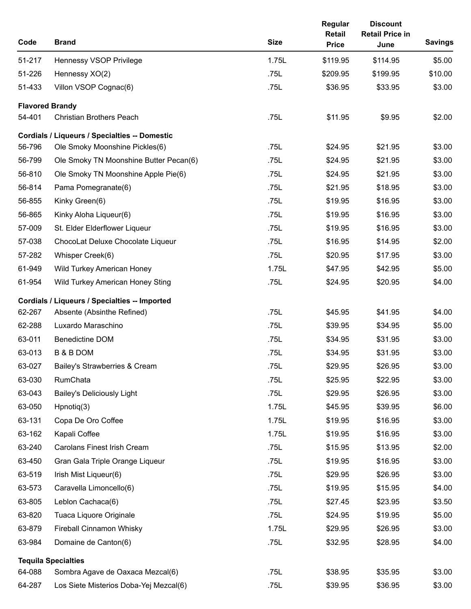| Code   | <b>Brand</b>                                         | <b>Size</b> | Regular<br>Retail<br><b>Price</b> | <b>Discount</b><br><b>Retail Price in</b><br>June | <b>Savings</b> |
|--------|------------------------------------------------------|-------------|-----------------------------------|---------------------------------------------------|----------------|
| 51-217 | Hennessy VSOP Privilege                              | 1.75L       | \$119.95                          | \$114.95                                          | \$5.00         |
| 51-226 | Hennessy XO(2)                                       | .75L        | \$209.95                          | \$199.95                                          | \$10.00        |
| 51-433 | Villon VSOP Cognac(6)                                | .75L        | \$36.95                           | \$33.95                                           | \$3.00         |
|        | <b>Flavored Brandy</b>                               |             |                                   |                                                   |                |
| 54-401 | <b>Christian Brothers Peach</b>                      | .75L        | \$11.95                           | \$9.95                                            | \$2.00         |
|        | <b>Cordials / Liqueurs / Specialties -- Domestic</b> |             |                                   |                                                   |                |
| 56-796 | Ole Smoky Moonshine Pickles(6)                       | .75L        | \$24.95                           | \$21.95                                           | \$3.00         |
| 56-799 | Ole Smoky TN Moonshine Butter Pecan(6)               | .75L        | \$24.95                           | \$21.95                                           | \$3.00         |
| 56-810 | Ole Smoky TN Moonshine Apple Pie(6)                  | .75L        | \$24.95                           | \$21.95                                           | \$3.00         |
| 56-814 | Pama Pomegranate(6)                                  | .75L        | \$21.95                           | \$18.95                                           | \$3.00         |
| 56-855 | Kinky Green(6)                                       | .75L        | \$19.95                           | \$16.95                                           | \$3.00         |
| 56-865 | Kinky Aloha Liqueur(6)                               | .75L        | \$19.95                           | \$16.95                                           | \$3.00         |
| 57-009 | St. Elder Elderflower Liqueur                        | .75L        | \$19.95                           | \$16.95                                           | \$3.00         |
| 57-038 | ChocoLat Deluxe Chocolate Liqueur                    | .75L        | \$16.95                           | \$14.95                                           | \$2.00         |
| 57-282 | Whisper Creek(6)                                     | .75L        | \$20.95                           | \$17.95                                           | \$3.00         |
| 61-949 | Wild Turkey American Honey                           | 1.75L       | \$47.95                           | \$42.95                                           | \$5.00         |
| 61-954 | Wild Turkey American Honey Sting                     | .75L        | \$24.95                           | \$20.95                                           | \$4.00         |
|        | Cordials / Liqueurs / Specialties -- Imported        |             |                                   |                                                   |                |
| 62-267 | Absente (Absinthe Refined)                           | .75L        | \$45.95                           | \$41.95                                           | \$4.00         |
| 62-288 | Luxardo Maraschino                                   | .75L        | \$39.95                           | \$34.95                                           | \$5.00         |
| 63-011 | <b>Benedictine DOM</b>                               | .75L        | \$34.95                           | \$31.95                                           | \$3.00         |
| 63-013 | <b>B &amp; B DOM</b>                                 | .75L        | \$34.95                           | \$31.95                                           | \$3.00         |
| 63-027 | Bailey's Strawberries & Cream                        | .75L        | \$29.95                           | \$26.95                                           | \$3.00         |
| 63-030 | RumChata                                             | .75L        | \$25.95                           | \$22.95                                           | \$3.00         |
| 63-043 | <b>Bailey's Deliciously Light</b>                    | .75L        | \$29.95                           | \$26.95                                           | \$3.00         |
| 63-050 | Hpnotiq(3)                                           | 1.75L       | \$45.95                           | \$39.95                                           | \$6.00         |
| 63-131 | Copa De Oro Coffee                                   | 1.75L       | \$19.95                           | \$16.95                                           | \$3.00         |
| 63-162 | Kapali Coffee                                        | 1.75L       | \$19.95                           | \$16.95                                           | \$3.00         |
| 63-240 | <b>Carolans Finest Irish Cream</b>                   | .75L        | \$15.95                           | \$13.95                                           | \$2.00         |
| 63-450 | Gran Gala Triple Orange Liqueur                      | .75L        | \$19.95                           | \$16.95                                           | \$3.00         |
| 63-519 | Irish Mist Liqueur(6)                                | .75L        | \$29.95                           | \$26.95                                           | \$3.00         |
| 63-573 | Caravella Limoncello(6)                              | .75L        | \$19.95                           | \$15.95                                           | \$4.00         |
| 63-805 | Leblon Cachaca(6)                                    | .75L        | \$27.45                           | \$23.95                                           | \$3.50         |
| 63-820 | Tuaca Liquore Originale                              | .75L        | \$24.95                           | \$19.95                                           | \$5.00         |
| 63-879 | Fireball Cinnamon Whisky                             | 1.75L       | \$29.95                           | \$26.95                                           | \$3.00         |
| 63-984 | Domaine de Canton(6)                                 | .75L        | \$32.95                           | \$28.95                                           | \$4.00         |
|        | <b>Tequila Specialties</b>                           |             |                                   |                                                   |                |
| 64-088 | Sombra Agave de Oaxaca Mezcal(6)                     | .75L        | \$38.95                           | \$35.95                                           | \$3.00         |
| 64-287 | Los Siete Misterios Doba-Yej Mezcal(6)               | .75L        | \$39.95                           | \$36.95                                           | \$3.00         |